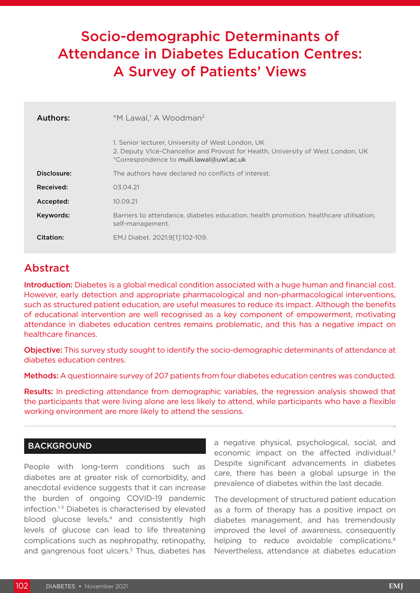# Socio-demographic Determinants of Attendance in Diabetes Education Centres: A Survey of Patients' Views

| Authors:    | *M Lawal, <sup>1</sup> A Woodman <sup>2</sup>                                                                                                                                    |  |  |  |  |  |
|-------------|----------------------------------------------------------------------------------------------------------------------------------------------------------------------------------|--|--|--|--|--|
|             | 1. Senior lecturer, University of West London, UK<br>2. Deputy VIce-Chancellor and Provost for Health, University of West London, UK<br>*Correspondence to muili.lawal@uwl.ac.uk |  |  |  |  |  |
| Disclosure: | The authors have declared no conflicts of interest.                                                                                                                              |  |  |  |  |  |
| Received:   | 03.04.21                                                                                                                                                                         |  |  |  |  |  |
| Accepted:   | 10.09.21                                                                                                                                                                         |  |  |  |  |  |
| Keywords:   | Barriers to attendance, diabetes education, health promotion, healthcare utilisation,<br>self-management.                                                                        |  |  |  |  |  |
| Citation:   | EMJ Diabet. 2021;9[1]:102-109.                                                                                                                                                   |  |  |  |  |  |

# **Abstract**

Introduction: Diabetes is a global medical condition associated with a huge human and financial cost. However, early detection and appropriate pharmacological and non-pharmacological interventions, such as structured patient education, are useful measures to reduce its impact. Although the benefits of educational intervention are well recognised as a key component of empowerment, motivating attendance in diabetes education centres remains problematic, and this has a negative impact on healthcare finances.

Objective: This survey study sought to identify the socio-demographic determinants of attendance at diabetes education centres.

Methods: A questionnaire survey of 207 patients from four diabetes education centres was conducted.

Results: In predicting attendance from demographic variables, the regression analysis showed that the participants that were living alone are less likely to attend, while participants who have a flexible working environment are more likely to attend the sessions.

## **BACKGROUND**

People with long-term conditions such as diabetes are at greater risk of comorbidity, and anecdotal evidence suggests that it can increase the burden of ongoing COVID-19 pandemic infection.<sup>1-3</sup> Diabetes is characterised by elevated blood glucose levels,<sup>4</sup> and consistently high levels of glucose can lead to life threatening complications such as nephropathy, retinopathy, and gangrenous foot ulcers. $3$  Thus, diabetes has

a negative physical, psychological, social, and economic impact on the affected individual.<sup>5</sup> Despite significant advancements in diabetes care, there has been a global upsurge in the prevalence of diabetes within the last decade.

The development of structured patient education as a form of therapy has a positive impact on diabetes management, and has tremendously improved the level of awareness, consequently helping to reduce avoidable complications.<sup>6</sup> Nevertheless, attendance at diabetes education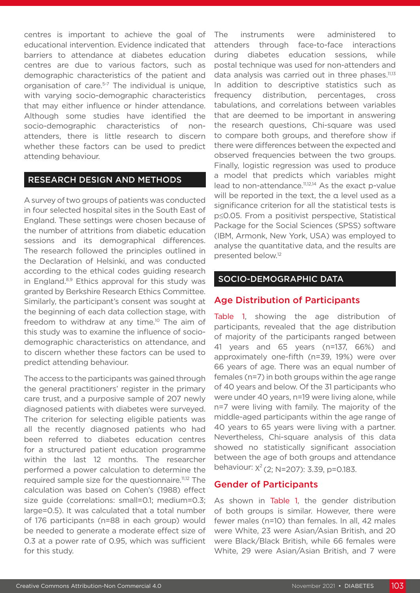centres is important to achieve the goal of educational intervention. Evidence indicated that barriers to attendance at diabetes education centres are due to various factors, such as demographic characteristics of the patient and organisation of care.<sup>5-7</sup> The individual is unique, with varying socio-demographic characteristics that may either influence or hinder attendance. Although some studies have identified the socio-demographic characteristics of nonattenders, there is little research to discern whether these factors can be used to predict attending behaviour.

#### RESEARCH DESIGN AND METHODS

A survey of two groups of patients was conducted in four selected hospital sites in the South East of England. These settings were chosen because of the number of attritions from diabetic education sessions and its demographical differences. The research followed the principles outlined in the Declaration of Helsinki, and was conducted according to the ethical codes guiding research in England.<sup>8,9</sup> Ethics approval for this study was granted by Berkshire Research Ethics Committee. Similarly, the participant's consent was sought at the beginning of each data collection stage, with freedom to withdraw at any time.<sup>10</sup> The aim of this study was to examine the influence of sociodemographic characteristics on attendance, and to discern whether these factors can be used to predict attending behaviour.

The access to the participants was gained through the general practitioners' register in the primary care trust, and a purposive sample of 207 newly diagnosed patients with diabetes were surveyed. The criterion for selecting eligible patients was all the recently diagnosed patients who had been referred to diabetes education centres for a structured patient education programme within the last 12 months. The researcher performed a power calculation to determine the required sample size for the questionnaire.11,12 The calculation was based on Cohen's (1988) effect size guide (correlations: small=0.1; medium=0.3; large=0.5). It was calculated that a total number of 176 participants (n=88 in each group) would be needed to generate a moderate effect size of 0.3 at a power rate of 0.95, which was sufficient for this study.

The instruments were administered to attenders through face-to-face interactions during diabetes education sessions, while postal technique was used for non-attenders and data analysis was carried out in three phases.<sup>11,13</sup> In addition to descriptive statistics such as frequency distribution, percentages, cross tabulations, and correlations between variables that are deemed to be important in answering the research questions, Chi-square was used to compare both groups, and therefore show if there were differences between the expected and observed frequencies between the two groups. Finally, logistic regression was used to produce a model that predicts which variables might lead to non-attendance.11,12,14 As the exact p-value will be reported in the text, the α level used as a significance criterion for all the statistical tests is p≤0.05. From a positivist perspective, Statistical Package for the Social Sciences (SPSS) software (IBM, Armonk, New York, USA) was employed to analyse the quantitative data, and the results are presented below.12

#### SOCIO-DEMOGRAPHIC DATA

#### Age Distribution of Participants

Table 1, showing the age distribution of participants, revealed that the age distribution of majority of the participants ranged between 41 years and 65 years (n=137, 66%) and approximately one-fifth (n=39, 19%) were over 66 years of age. There was an equal number of females (n=7) in both groups within the age range of 40 years and below. Of the 31 participants who were under 40 years, n=19 were living alone, while n=7 were living with family. The majority of the middle-aged participants within the age range of 40 years to 65 years were living with a partner. Nevertheless, Chi-square analysis of this data showed no statistically significant association between the age of both groups and attendance behaviour:  $X^2$  (2; N=207): 3.39, p=0.183.

#### Gender of Participants

As shown in Table 1, the gender distribution of both groups is similar. However, there were fewer males (n=10) than females. In all, 42 males were White, 23 were Asian/Asian British, and 20 were Black/Black British, while 66 females were White, 29 were Asian/Asian British, and 7 were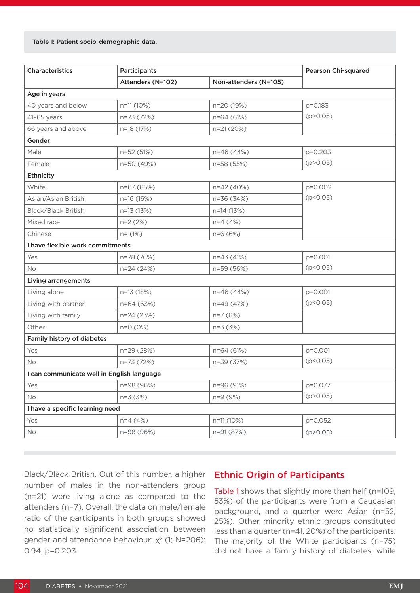#### Table 1: Patient socio-demographic data.

| Characteristics                            | Participants      | <b>Pearson Chi-squared</b> |            |  |  |  |  |  |  |
|--------------------------------------------|-------------------|----------------------------|------------|--|--|--|--|--|--|
|                                            | Attenders (N=102) | Non-attenders (N=105)      |            |  |  |  |  |  |  |
| Age in years                               |                   |                            |            |  |  |  |  |  |  |
| 40 years and below                         | n=11 (10%)        | n=20 (19%)                 | p=0.183    |  |  |  |  |  |  |
| $41-65$ years                              | n=73 (72%)        | n=64 (61%)                 | (p > 0.05) |  |  |  |  |  |  |
| 66 years and above                         | n=18 (17%)        | n=21 (20%)                 |            |  |  |  |  |  |  |
| Gender                                     |                   |                            |            |  |  |  |  |  |  |
| Male                                       | n=52 (51%)        | n=46 (44%)                 | p=0.203    |  |  |  |  |  |  |
| Female                                     | n=50 (49%)        | n=58 (55%)                 | (p > 0.05) |  |  |  |  |  |  |
| Ethnicity                                  |                   |                            |            |  |  |  |  |  |  |
| White                                      | n=67 (65%)        | n=42 (40%)                 | p=0.002    |  |  |  |  |  |  |
| Asian/Asian British                        | n=16 (16%)        | n=36 (34%)                 | (p < 0.05) |  |  |  |  |  |  |
| Black/Black British                        | n=13 (13%)        | n=14 (13%)                 |            |  |  |  |  |  |  |
| Mixed race                                 | $n=2(2%)$         | $n=4(4%)$                  |            |  |  |  |  |  |  |
| Chinese                                    | $n=1(1%)$         | $n=6(6%)$                  |            |  |  |  |  |  |  |
| I have flexible work commitments           |                   |                            |            |  |  |  |  |  |  |
| Yes                                        | n=78 (76%)        | n=43 (41%)                 | p=0.001    |  |  |  |  |  |  |
| <b>No</b>                                  | n=24 (24%)        | n=59 (56%)                 | (p < 0.05) |  |  |  |  |  |  |
| Living arrangements                        |                   |                            |            |  |  |  |  |  |  |
| Living alone                               | n=13 (13%)        | n=46 (44%)                 | p=0.001    |  |  |  |  |  |  |
| Living with partner                        | n=64 (63%)        | n=49 (47%)                 | (p < 0.05) |  |  |  |  |  |  |
| Living with family                         | n=24 (23%)        | n=7 (6%)                   |            |  |  |  |  |  |  |
| Other                                      | $n=0$ (0%)        | n=3 (3%)                   |            |  |  |  |  |  |  |
| Family history of diabetes                 |                   |                            |            |  |  |  |  |  |  |
| Yes                                        | n=29 (28%)        | n=64 (61%)                 | p=0.001    |  |  |  |  |  |  |
| <b>No</b>                                  | n=73 (72%)        | n=39 (37%)                 | (p < 0.05) |  |  |  |  |  |  |
| I can communicate well in English language |                   |                            |            |  |  |  |  |  |  |
| Yes                                        | n=98 (96%)        | n=96 (91%)                 | p=0.077    |  |  |  |  |  |  |
| No                                         | $n=3(3%)$         | n=9 (9%)                   | (p > 0.05) |  |  |  |  |  |  |
| I have a specific learning need            |                   |                            |            |  |  |  |  |  |  |
| Yes                                        | $n=4(4%)$         | n=11 (10%)                 | p=0.052    |  |  |  |  |  |  |
| No                                         | n=98 (96%)        | n=91 (87%)                 | (p > 0.05) |  |  |  |  |  |  |

Black/Black British. Out of this number, a higher number of males in the non-attenders group (n=21) were living alone as compared to the attenders (n=7). Overall, the data on male/female ratio of the participants in both groups showed no statistically significant association between gender and attendance behaviour:  $x^2$  (1; N=206): 0.94, p=0.203.

#### Ethnic Origin of Participants

Table 1 shows that slightly more than half (n=109, 53%) of the participants were from a Caucasian background, and a quarter were Asian (n=52, 25%). Other minority ethnic groups constituted less than a quarter (n=41, 20%) of the participants. The majority of the White participants (n=75) did not have a family history of diabetes, while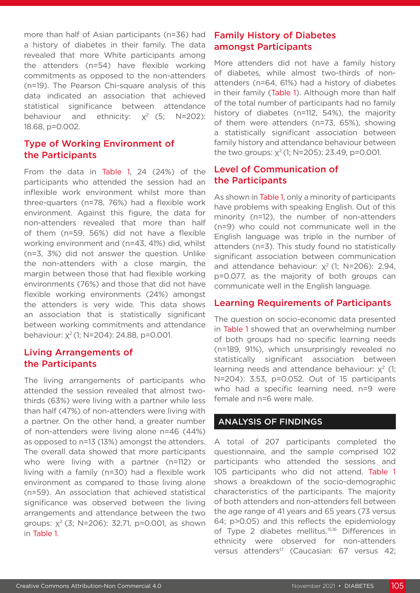more than half of Asian participants (n=36) had a history of diabetes in their family. The data revealed that more White participants among the attenders (n=54) have flexible working commitments as opposed to the non-attenders (n=19). The Pearson Chi-square analysis of this data indicated an association that achieved statistical significance between attendance behaviour and ethnicity:  $x^2$  (5; N=202): 18.68, p=0.002.

# Type of Working Environment of the Participants

From the data in Table 1, 24 (24%) of the participants who attended the session had an inflexible work environment whilst more than three-quarters (n=78, 76%) had a flexible work environment. Against this figure, the data for non-attenders revealed that more than half of them (n=59, 56%) did not have a flexible working environment and (n=43, 41%) did, whilst (n=3, 3%) did not answer the question. Unlike the non-attenders with a close margin, the margin between those that had flexible working environments (76%) and those that did not have flexible working environments (24%) amongst the attenders is very wide. This data shows an association that is statistically significant between working commitments and attendance behaviour: x<sup>2</sup> (1; N=204): 24.88, p=0.001.

## Living Arrangements of the Participants

The living arrangements of participants who attended the session revealed that almost twothirds (63%) were living with a partner while less than half (47%) of non-attenders were living with a partner. On the other hand, a greater number of non-attenders were living alone n=46 (44%) as opposed to n=13 (13%) amongst the attenders. The overall data showed that more participants who were living with a partner (n=112) or living with a family (n=30) had a flexible work environment as compared to those living alone (n=59). An association that achieved statistical significance was observed between the living arrangements and attendance between the two groups:  $x^2$  (3; N=206): 32.71, p=0.001, as shown in Table 1.

# Family History of Diabetes amongst Participants

More attenders did not have a family history of diabetes, while almost two-thirds of nonattenders (n=64, 61%) had a history of diabetes in their family (Table 1). Although more than half of the total number of participants had no family history of diabetes (n=112, 54%), the majority of them were attenders (n=73, 65%), showing a statistically significant association between family history and attendance behaviour between the two groups:  $x^2$  (1; N=205): 23.49, p=0.001.

# Level of Communication of the Participants

As shown in Table 1, only a minority of participants have problems with speaking English. Out of this minority (n=12), the number of non-attenders (n=9) who could not communicate well in the English language was triple in the number of attenders (n=3). This study found no statistically significant association between communication and attendance behaviour:  $x^2$  (1; N=206): 2.94, p=0.077, as the majority of both groups can communicate well in the English language.

# Learning Requirements of Participants

The question on socio-economic data presented in Table 1 showed that an overwhelming number of both groups had no specific learning needs (n=189, 91%), which unsurprisingly revealed no statistically significant association between learning needs and attendance behaviour:  $x^2$  (1; N=204): 3.53, p=0.052. Out of 15 participants who had a specific learning need, n=9 were female and n=6 were male.

# ANALYSIS OF FINDINGS

A total of 207 participants completed the questionnaire, and the sample comprised 102 participants who attended the sessions and 105 participants who did not attend. Table 1 shows a breakdown of the socio-demographic characteristics of the participants. The majority of both attenders and non-attenders fell between the age range of 41 years and 65 years (73 versus 64; p>0.05) and this reflects the epidemiology of Type 2 diabetes mellitus.<sup>15,16</sup> Differences in ethnicity were observed for non-attenders versus attenders<sup>17</sup> (Caucasian: 67 versus 42;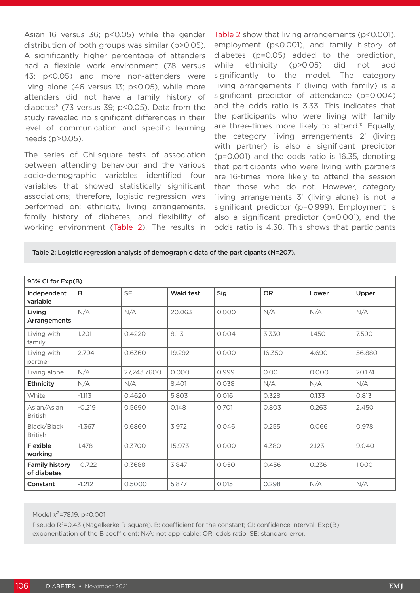Asian 16 versus 36; p<0.05) while the gender distribution of both groups was similar (p>0.05). A significantly higher percentage of attenders had a flexible work environment (78 versus 43; p<0.05) and more non-attenders were living alone (46 versus 13; p<0.05), while more attenders did not have a family history of diabetes $6$  (73 versus 39; p<0.05). Data from the study revealed no significant differences in their level of communication and specific learning needs (p>0.05).

The series of Chi-square tests of association between attending behaviour and the various socio-demographic variables identified four variables that showed statistically significant associations; therefore, logistic regression was performed on: ethnicity, living arrangements, family history of diabetes, and flexibility of working environment (Table 2). The results in

Table 2 show that living arrangements (p<0.001), employment (p<0.001), and family history of diabetes (p=0.05) added to the prediction, while ethnicity (p>0.05) did not add significantly to the model. The category 'living arrangements 1' (living with family) is a significant predictor of attendance (p=0.004) and the odds ratio is 3.33. This indicates that the participants who were living with family are three-times more likely to attend.<sup>12</sup> Equally, the category 'living arrangements 2' (living with partner) is also a significant predictor (p=0.001) and the odds ratio is 16.35, denoting that participants who were living with partners are 16-times more likely to attend the session than those who do not. However, category 'living arrangements 3' (living alone) is not a significant predictor (p=0.999). Employment is also a significant predictor (p=0.001), and the odds ratio is 4.38. This shows that participants

Table 2: Logistic regression analysis of demographic data of the participants (N=207).

| 95% CI for Exp(B)                    |          |             |           |       |           |       |        |  |  |  |  |
|--------------------------------------|----------|-------------|-----------|-------|-----------|-------|--------|--|--|--|--|
| Independent<br>variable              | B        | <b>SE</b>   | Wald test | Sig   | <b>OR</b> | Lower | Upper  |  |  |  |  |
| Living<br>Arrangements               | N/A      | N/A         | 20.063    | 0.000 | N/A       | N/A   | N/A    |  |  |  |  |
| Living with<br>family                | 1.201    | 0.4220      | 8.113     | 0.004 | 3.330     | 1.450 | 7.590  |  |  |  |  |
| Living with<br>partner               | 2.794    | 0.6360      | 19.292    | 0.000 | 16.350    | 4.690 | 56.880 |  |  |  |  |
| Living alone                         | N/A      | 27,243.7600 | 0.000     | 0.999 | 0.00      | 0.000 | 20.174 |  |  |  |  |
| Ethnicity                            | N/A      | N/A         | 8.401     | 0.038 | N/A       | N/A   | N/A    |  |  |  |  |
| White                                | $-1.113$ | 0.4620      | 5.803     | 0.016 | 0.328     | 0.133 | 0.813  |  |  |  |  |
| Asian/Asian<br><b>British</b>        | $-0.219$ | 0.5690      | 0.148     | 0.701 | 0.803     | 0.263 | 2.450  |  |  |  |  |
| Black/Black<br><b>British</b>        | $-1.367$ | 0.6860      | 3.972     | 0.046 | 0.255     | 0.066 | 0.978  |  |  |  |  |
| Flexible<br>working                  | 1.478    | 0.3700      | 15.973    | 0.000 | 4.380     | 2.123 | 9.040  |  |  |  |  |
| <b>Family history</b><br>of diabetes | $-0.722$ | 0.3688      | 3.847     | 0.050 | 0.456     | 0.236 | 1.000  |  |  |  |  |
| Constant                             | $-1.212$ | 0.5000      | 5.877     | 0.015 | 0.298     | N/A   | N/A    |  |  |  |  |

Model  $x^2$ =78.19, p<0.001.

Pseudo R<sup>2</sup>=0.43 (Nagelkerke R-square). B: coefficient for the constant; CI: confidence interval; Exp(B): exponentiation of the B coefficient; N/A: not applicable; OR: odds ratio; SE: standard error.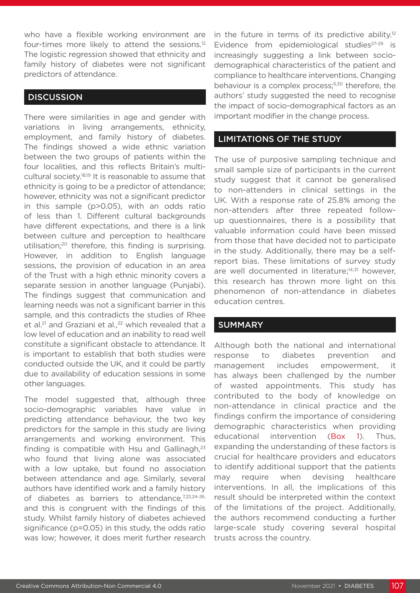who have a flexible working environment are four-times more likely to attend the sessions.12 The logistic regression showed that ethnicity and family history of diabetes were not significant predictors of attendance.

#### **DISCUSSION**

There were similarities in age and gender with variations in living arrangements, ethnicity, employment, and family history of diabetes. The findings showed a wide ethnic variation between the two groups of patients within the four localities, and this reflects Britain's multicultural society.18,19 It is reasonable to assume that ethnicity is going to be a predictor of attendance; however, ethnicity was not a significant predictor in this sample (p>0.05), with an odds ratio of less than 1. Different cultural backgrounds have different expectations, and there is a link between culture and perception to healthcare utilisation;20 therefore, this finding is surprising. However, in addition to English language sessions, the provision of education in an area of the Trust with a high ethnic minority covers a separate session in another language (Punjabi). The findings suggest that communication and learning needs was not a significant barrier in this sample, and this contradicts the studies of Rhee et al.<sup>21</sup> and Graziani et al.,<sup>22</sup> which revealed that a low level of education and an inability to read well constitute a significant obstacle to attendance. It is important to establish that both studies were conducted outside the UK, and it could be partly due to availability of education sessions in some other languages.

The model suggested that, although three socio-demographic variables have value in predicting attendance behaviour, the two key predictors for the sample in this study are living arrangements and working environment. This finding is compatible with Hsu and Gallinagh, $23$ who found that living alone was associated with a low uptake, but found no association between attendance and age. Similarly, several authors have identified work and a family history of diabetes as barriers to attendance,<sup>7,22,24-26,</sup> and this is congruent with the findings of this study. Whilst family history of diabetes achieved significance (p=0.05) in this study, the odds ratio was low; however, it does merit further research

in the future in terms of its predictive ability.<sup>12</sup> Evidence from epidemiological studies $27-29$  is increasingly suggesting a link between sociodemographical characteristics of the patient and compliance to healthcare interventions. Changing behaviour is a complex process;<sup>5,30</sup> therefore, the authors' study suggested the need to recognise the impact of socio-demographical factors as an important modifier in the change process.

#### LIMITATIONS OF THE STUDY

The use of purposive sampling technique and small sample size of participants in the current study suggest that it cannot be generalised to non-attenders in clinical settings in the UK. With a response rate of 25.8% among the non-attenders after three repeated followup questionnaires, there is a possibility that valuable information could have been missed from those that have decided not to participate in the study. Additionally, there may be a selfreport bias. These limitations of survey study are well documented in literature;<sup>14,31</sup> however, this research has thrown more light on this phenomenon of non-attendance in diabetes education centres.

#### SUMMARY

Although both the national and international response to diabetes prevention and management includes empowerment, it has always been challenged by the number of wasted appointments. This study has contributed to the body of knowledge on non-attendance in clinical practice and the findings confirm the importance of considering demographic characteristics when providing educational intervention (Box 1). Thus, expanding the understanding of these factors is crucial for healthcare providers and educators to identify additional support that the patients may require when devising healthcare interventions. In all, the implications of this result should be interpreted within the context of the limitations of the project. Additionally, the authors recommend conducting a further large-scale study covering several hospital trusts across the country.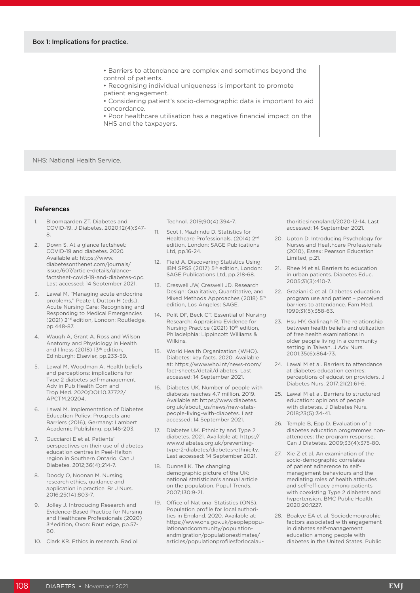• Barriers to attendance are complex and sometimes beyond the control of patients.

- Recognising individual uniqueness is important to promote
- patient engagement.

• Considering patient's socio-demographic data is important to aid concordance.

• Poor healthcare utilisation has a negative financial impact on the NHS and the taxpayers.

NHS: National Health Service.

#### References

- 1. Bloomgarden ZT. Diabetes and COVID-19. J Diabetes. 2020;12(4):347- 8.
- 2. Down S. At a glance factsheet: COVID-19 and diabetes. 2020. Available at: https://www. diabetesonthenet.com/journals/ issue/607/article-details/glancefactsheet-covid-19-and-diabetes-dpc. Last accessed: 14 September 2021.
- 3. Lawal M, "Managing acute endocrine problems," Peate I, Dutton H (eds.), Acute Nursing Care: Recognising and Responding to Medical Emergencies (2021) 2nd edition, London: Routledge, pp.448-87.
- 4. Waugh A, Grant A. Ross and Wilson Anatomy and Physiology in Health and Illness (2018) 13<sup>th</sup> edition, Edinburgh: Elsevier, pp.233-59.
- 5. Lawal M, Woodman A. Health beliefs and perceptions: implications for Type 2 diabetes self-management. Adv in Pub Health Com and Trop Med. 2020;DOI:10.37722/ APCTM.20204.
- 6. Lawal M. Implementation of Diabetes Education Policy: Prospects and Barriers (2016), Germany: Lambert Academic Publishing, pp.146-203.
- 7. Gucciardi E et al. Patients' perspectives on their use of diabetes education centres in Peel-Halton region in Southern Ontario. Can J Diabetes. 2012;36(4);214-7.
- 8. Doody O, Noonan M. Nursing research ethics, guidance and application in practice. Br J Nurs. 2016;25(14):803-7.
- 9. Jolley J. Introducing Research and Evidence-Based Practice for Nursing and Healthcare Professionals (2020) 3rd edition, Oxon: Routledge, pp.57-  $60$
- 10. Clark KR. Ethics in research. Radiol

Technol. 2019;90(4):394-7.

- 11. Scot I, Mazhindu D. Statistics for Healthcare Professionals. (2014) 2<sup>nd</sup> edition, London: SAGE Publications Ltd, pp.16-24.
- 12. Field A. Discovering Statistics Using IBM SPSS (2017) 5<sup>th</sup> edition, London: SAGE Publications Ltd, pp.218-68.
- 13. Creswell JW, Creswell JD. Research Design: Qualitative, Quantitative, and Mixed Methods Approaches (2018) 5<sup>th</sup> edition, Los Angeles: SAGE.
- 14. Polit DF, Beck CT. Essential of Nursing Research: Appraising Evidence for Nursing Practice (2021) 10<sup>th</sup> edition, Philadelphia: Lippincott Williams & Wilkins.
- 15. World Health Organization (WHO). Diabetes: key facts. 2020. Available at: https://www.who.int/news-room/ fact-sheets/detail/diabetes. Last accessed: 14 September 2021.
- 16. Diabetes UK. Number of people with diabetes reaches 4.7 million. 2019. Available at: https://www.diabetes. org.uk/about\_us/news/new-statspeople-living-with-diabetes. Last accessed: 14 September 2021.
- 17. Diabetes UK. Ethnicity and Type 2 diabetes. 2021. Available at: https:// www.diabetes.org.uk/preventingtype-2-diabetes/diabetes-ethnicity. Last accessed: 14 September 2021.
- 18. Dunnell K. The changing demographic picture of the UK: national statistician's annual article on the population. Popul Trends. 2007;130:9-21.
- 19. Office of National Statistics (ONS). Population profile for local authorities in England. 2020. Available at: https://www.ons.gov.uk/peoplepopulationandcommunity/populationandmigration/populationestimates/ articles/populationprofilesforlocalau-

thoritiesinengland/2020-12-14. Last accessed: 14 September 2021.

- 20. Upton D. Introducing Psychology for Nurses and Healthcare Professionals (2010), Essex: Pearson Education Limited, p.21.
- 21. Rhee M et al. Barriers to education in urban patients. Diabetes Educ. 2005;31(3):410-7.
- 22. Graziani C et al. Diabetes education program use and patient – perceived barriers to attendance. Fam Med. 1999;31(5):358-63.
- 23. Hsu HY, Gallinagh R. The relationship between health beliefs and utilization of free health examinations in older people living in a community setting in Taiwan. J Adv Nurs. 2001;35(6):864-73.
- 24. Lawal M et al. Barriers to attendance at diabetes education centres: perceptions of education providers. J Diabetes Nurs. 2017;21(2):61-6.
- 25. Lawal M et al. Barriers to structured education: opinions of people with diabetes. J Diabetes Nurs. 2018;23(5):34-41.
- 26. Temple B, Epp D. Evaluation of a diabetes education programmes nonattendees: the program response. Can J Diabetes. 2009;33(4):375-80.
- 27. Xie Z et al. An examination of the socio-demographic correlates of patient adherence to selfmanagement behaviours and the mediating roles of health attitudes and self-efficacy among patients with coexisting Type 2 diabetes and hypertension. BMC Public Health. 2020;20:1227.
- 28. Boakye EA et al. Sociodemographic factors associated with engagement in diabetes self-management education among people with diabetes in the United States. Public